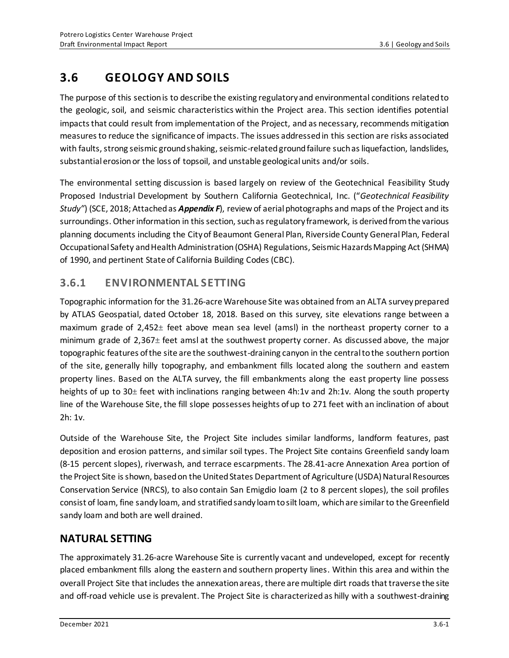# **3.6 GEOLOGY AND SOILS**

The purpose of this section is to describe the existing regulatory and environmental conditions related to the geologic, soil, and seismic characteristics within the Project area. This section identifies potential impacts that could result from implementation of the Project, and as necessary, recommends mitigation measures to reduce the significance of impacts. The issues addressed in this section are risks associated with faults, strong seismic ground shaking, seismic-related ground failure such as liquefaction, landslides, substantial erosion or the loss of topsoil, and unstable geological units and/or soils.

The environmental setting discussion is based largely on review of the Geotechnical Feasibility Study Proposed Industrial Development by Southern California Geotechnical, Inc. ("*Geotechnical Feasibility Study"*) (SCE, 2018; Attached as *Appendix F*), review of aerial photographs and maps of the Project and its surroundings. Other information in this section, such as regulatory framework, is derived from the various planning documents including the City of Beaumont General Plan, Riverside County General Plan, Federal Occupational Safety and Health Administration (OSHA) Regulations, Seismic Hazards Mapping Act (SHMA) of 1990, and pertinent State of California Building Codes (CBC).

# **3.6.1 ENVIRONMENTAL SETTING**

Topographic information for the 31.26-acre Warehouse Site was obtained from an ALTA survey prepared by ATLAS Geospatial, dated October 18, 2018. Based on this survey, site elevations range between a maximum grade of 2,452± feet above mean sea level (amsl) in the northeast property corner to a minimum grade of 2,367± feet amsl at the southwest property corner. As discussed above, the major topographic features of the site are the southwest-draining canyon in the central to the southern portion of the site, generally hilly topography, and embankment fills located along the southern and eastern property lines. Based on the ALTA survey, the fill embankments along the east property line possess heights of up to 30± feet with inclinations ranging between 4h:1v and 2h:1v. Along the south property line of the Warehouse Site, the fill slope possesses heights of up to 271 feet with an inclination of about 2h: 1v.

Outside of the Warehouse Site, the Project Site includes similar landforms, landform features, past deposition and erosion patterns, and similar soil types. The Project Site contains Greenfield sandy loam (8-15 percent slopes), riverwash, and terrace escarpments. The 28.41-acre Annexation Area portion of the Project Site is shown, based on the United States Department of Agriculture (USDA) Natural Resources Conservation Service (NRCS), to also contain San Emigdio loam (2 to 8 percent slopes), the soil profiles consist of loam, fine sandy loam, and stratified sandy loam to silt loam, which are similar to the Greenfield sandy loam and both are well drained.

# **NATURAL SETTING**

The approximately 31.26-acre Warehouse Site is currently vacant and undeveloped, except for recently placed embankment fills along the eastern and southern property lines. Within this area and within the overall Project Site that includes the annexation areas, there aremultiple dirt roads that traverse the site and off-road vehicle use is prevalent. The Project Site is characterized as hilly with a southwest-draining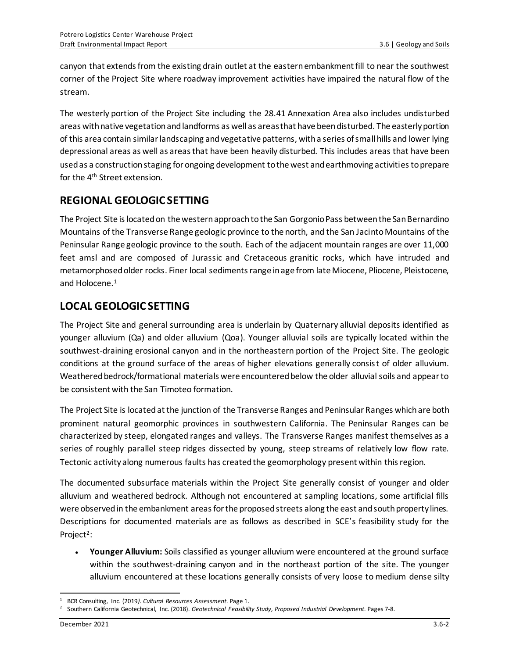canyon that extends from the existing drain outlet at the eastern embankment fill to near the southwest corner of the Project Site where roadway improvement activities have impaired the natural flow of the stream.

The westerly portion of the Project Site including the 28.41 Annexation Area also includes undisturbed areas with native vegetation and landforms as well as areas that have been disturbed. The easterly portion of this area contain similar landscaping and vegetative patterns, with a series of small hills and lower lying depressional areas as well as areas that have been heavily disturbed. This includes areas that have been used as a construction staging for ongoing development to the west and earthmoving activities to prepare for the 4<sup>th</sup> Street extension.

# **REGIONAL GEOLOGIC SETTING**

The Project Site islocated on the western approach to the San Gorgonio Pass between the San Bernardino Mountains of the Transverse Range geologic province to the north, and the San JacintoMountains of the Peninsular Range geologic province to the south. Each of the adjacent mountain ranges are over 11,000 feet amsl and are composed of Jurassic and Cretaceous granitic rocks, which have intruded and metamorphosed older rocks. Finer local sediments range in age from late Miocene, Pliocene, Pleistocene, and Holocene. 1

# **LOCAL GEOLOGIC SETTING**

The Project Site and general surrounding area is underlain by Quaternary alluvial deposits identified as younger alluvium (Qa) and older alluvium (Qoa). Younger alluvial soils are typically located within the southwest-draining erosional canyon and in the northeastern portion of the Project Site. The geologic conditions at the ground surface of the areas of higher elevations generally consist of older alluvium. Weathered bedrock/formational materials were encountered below the older alluvial soils and appear to be consistent with the San Timoteo formation.

The Project Site is located at the junction of the Transverse Ranges and Peninsular Ranges which are both prominent natural geomorphic provinces in southwestern California. The Peninsular Ranges can be characterized by steep, elongated ranges and valleys. The Transverse Ranges manifest themselves as a series of roughly parallel steep ridges dissected by young, steep streams of relatively low flow rate. Tectonic activity along numerous faults has created the geomorphology present within this region.

The documented subsurface materials within the Project Site generally consist of younger and older alluvium and weathered bedrock. Although not encountered at sampling locations, some artificial fills were observed in the embankment areas for the proposed streets along the east and south property lines. Descriptions for documented materials are as follows as described in SCE's feasibility study for the Project<sup>2</sup>:

• **Younger Alluvium:** Soils classified as younger alluvium were encountered at the ground surface within the southwest-draining canyon and in the northeast portion of the site. The younger alluvium encountered at these locations generally consists of very loose to medium dense silty

<sup>1</sup> BCR Consulting, Inc. (2019*). Cultural Resources Assessment*. Page 1.

<sup>2</sup> Southern California Geotechnical, Inc. (2018). *Geotechnical Feasibility Study, Proposed Industrial Development*. Pages 7-8.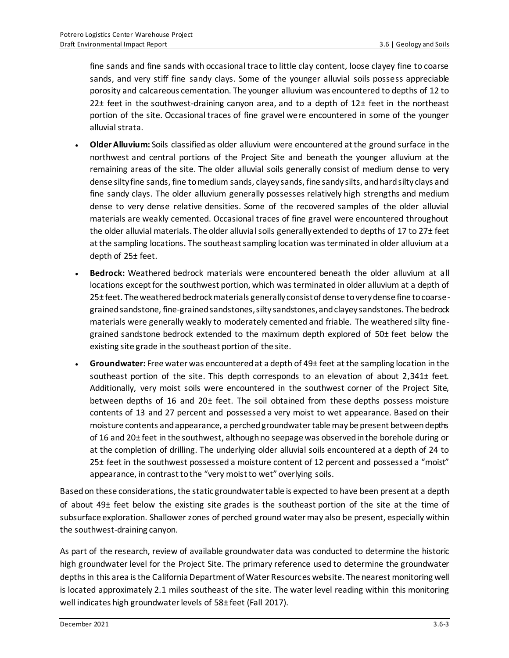fine sands and fine sands with occasional trace to little clay content, loose clayey fine to coarse sands, and very stiff fine sandy clays. Some of the younger alluvial soils possess appreciable porosity and calcareous cementation. The younger alluvium was encountered to depths of 12 to 22 $\pm$  feet in the southwest-draining canyon area, and to a depth of 12 $\pm$  feet in the northeast portion of the site. Occasional traces of fine gravel were encountered in some of the younger alluvial strata.

- **Older Alluvium:** Soils classified as older alluvium were encountered at the ground surface in the northwest and central portions of the Project Site and beneath the younger alluvium at the remaining areas of the site. The older alluvial soils generally consist of medium dense to very dense silty fine sands, fine to medium sands, clayey sands, fine sandy silts, and hard silty clays and fine sandy clays. The older alluvium generally possesses relatively high strengths and medium dense to very dense relative densities. Some of the recovered samples of the older alluvial materials are weakly cemented. Occasional traces of fine gravel were encountered throughout the older alluvial materials. The older alluvial soils generally extended to depths of 17 to 27± feet at the sampling locations. The southeast sampling location was terminated in older alluvium at a depth of 25± feet.
- **Bedrock:** Weathered bedrock materials were encountered beneath the older alluvium at all locations except for the southwest portion, which was terminated in older alluvium at a depth of 25± feet. The weathered bedrock materials generally consist of dense to very dense fine to coarsegrained sandstone, fine-grained sandstones, silty sandstones, and clayey sandstones. The bedrock materials were generally weakly to moderately cemented and friable. The weathered silty finegrained sandstone bedrock extended to the maximum depth explored of 50± feet below the existing site grade in the southeast portion of the site.
- **Groundwater:** Free water was encountered at a depth of 49± feet at the sampling location in the southeast portion of the site. This depth corresponds to an elevation of about 2,341± feet. Additionally, very moist soils were encountered in the southwest corner of the Project Site, between depths of 16 and 20± feet. The soil obtained from these depths possess moisture contents of 13 and 27 percent and possessed a very moist to wet appearance. Based on their moisture contents and appearance, a perched groundwater table may be present between depths of 16 and 20± feet in the southwest, although no seepage was observed in the borehole during or at the completion of drilling. The underlying older alluvial soils encountered at a depth of 24 to 25± feet in the southwest possessed a moisture content of 12 percent and possessed a "moist" appearance, in contrast to the "very moist to wet" overlying soils.

Based on these considerations, the static groundwater table is expected to have been present at a depth of about 49± feet below the existing site grades is the southeast portion of the site at the time of subsurface exploration. Shallower zones of perched ground water may also be present, especially within the southwest-draining canyon.

As part of the research, review of available groundwater data was conducted to determine the historic high groundwater level for the Project Site. The primary reference used to determine the groundwater depths in this area is the California Department of Water Resources website. The nearest monitoring well is located approximately 2.1 miles southeast of the site. The water level reading within this monitoring well indicates high groundwater levels of 58± feet (Fall 2017).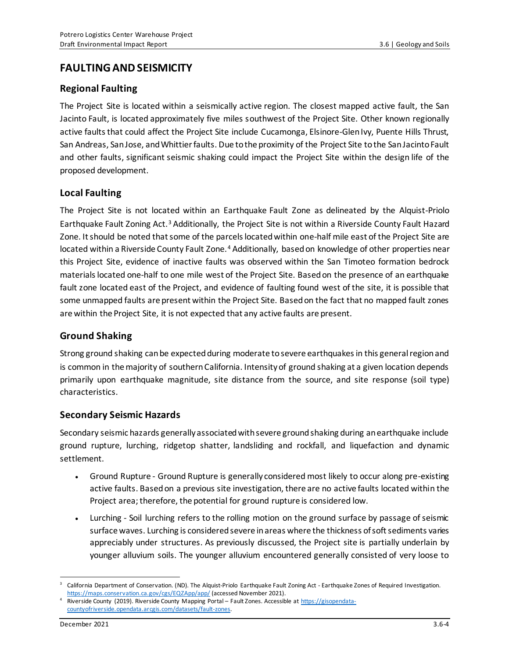## **FAULTING AND SEISMICITY**

### **Regional Faulting**

The Project Site is located within a seismically active region. The closest mapped active fault, the San Jacinto Fault, is located approximately five miles southwest of the Project Site. Other known regionally active faults that could affect the Project Site include Cucamonga, Elsinore-Glen Ivy, Puente Hills Thrust, San Andreas, San Jose, and Whittier faults. Due to the proximity of the Project Site to the San Jacinto Fault and other faults, significant seismic shaking could impact the Project Site within the design life of the proposed development.

### **Local Faulting**

The Project Site is not located within an Earthquake Fault Zone as delineated by the Alquist-Priolo Earthquake Fault Zoning Act.<sup>3</sup> Additionally, the Project Site is not within a Riverside County Fault Hazard Zone. It should be noted that some of the parcels located within one-half mile east of the Project Site are located within a Riverside County Fault Zone.<sup>4</sup> Additionally, based on knowledge of other properties near this Project Site, evidence of inactive faults was observed within the San Timoteo formation bedrock materialslocated one-half to one mile west of the Project Site. Based on the presence of an earthquake fault zone located east of the Project, and evidence of faulting found west of the site, it is possible that some unmapped faults are present within the Project Site. Based on the fact that no mapped fault zones are within the Project Site, it is not expected that any active faults are present.

### **Ground Shaking**

Strong ground shaking can be expected during moderate to severe earthquakes in this general region and is common in the majority of southern California. Intensity of ground shaking at a given location depends primarily upon earthquake magnitude, site distance from the source, and site response (soil type) characteristics.

### **Secondary Seismic Hazards**

Secondary seismic hazards generally associated with severe ground shaking during an earthquake include ground rupture, lurching, ridgetop shatter, landsliding and rockfall, and liquefaction and dynamic settlement.

- Ground Rupture Ground Rupture is generally considered most likely to occur along pre-existing active faults. Based on a previous site investigation, there are no active faults located within the Project area; therefore, the potential for ground rupture is considered low.
- Lurching Soil lurching refers to the rolling motion on the ground surface by passage of seismic surface waves. Lurching is considered severe in areas where the thickness of soft sediments varies appreciably under structures. As previously discussed, the Project site is partially underlain by younger alluvium soils. The younger alluvium encountered generally consisted of very loose to

<sup>3</sup> California Department of Conservation. (ND). The Alquist-Priolo Earthquake Fault Zoning Act - Earthquake Zones of Required Investigation. <https://maps.conservation.ca.gov/cgs/EQZApp/app/> (accessed November 2021).

<sup>4</sup> Riverside County (2019). Riverside County Mapping Portal – Fault Zones. Accessible a[t https://gisopendata](https://gisopendata-countyofriverside.opendata.arcgis.com/datasets/fault-zones)[countyofriverside.opendata.arcgis.com/datasets/fault-zones.](https://gisopendata-countyofriverside.opendata.arcgis.com/datasets/fault-zones)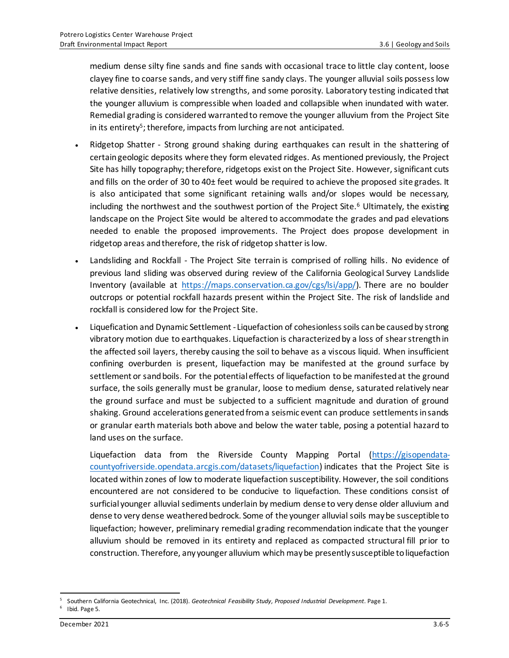medium dense silty fine sands and fine sands with occasional trace to little clay content, loose clayey fine to coarse sands, and very stiff fine sandy clays. The younger alluvial soils possess low relative densities, relatively low strengths, and some porosity. Laboratory testing indicated that the younger alluvium is compressible when loaded and collapsible when inundated with water. Remedial grading is considered warranted to remove the younger alluvium from the Project Site in its entirety<sup>5</sup>; therefore, impacts from lurching are not anticipated.

- Ridgetop Shatter Strong ground shaking during earthquakes can result in the shattering of certain geologic deposits where they form elevated ridges. As mentioned previously, the Project Site has hilly topography; therefore, ridgetops exist on the Project Site. However, significant cuts and fills on the order of 30 to 40± feet would be required to achieve the proposed site grades. It is also anticipated that some significant retaining walls and/or slopes would be necessary, including the northwest and the southwest portion of the Project Site. <sup>6</sup> Ultimately, the existing landscape on the Project Site would be altered to accommodate the grades and pad elevations needed to enable the proposed improvements. The Project does propose development in ridgetop areas and therefore, the risk of ridgetop shatter is low.
- Landsliding and Rockfall The Project Site terrain is comprised of rolling hills. No evidence of previous land sliding was observed during review of the California Geological Survey Landslide Inventory (available at [https://maps.conservation.ca.gov/cgs/lsi/app/\)](https://maps.conservation.ca.gov/cgs/lsi/app/). There are no boulder outcrops or potential rockfall hazards present within the Project Site. The risk of landslide and rockfall is considered low for the Project Site.
- Liquefication and Dynamic Settlement Liquefaction of cohesionless soils can be caused by strong vibratory motion due to earthquakes. Liquefaction is characterized by a loss of shear strength in the affected soil layers, thereby causing the soil to behave as a viscous liquid. When insufficient confining overburden is present, liquefaction may be manifested at the ground surface by settlement or sand boils. For the potential effects of liquefaction to be manifested at the ground surface, the soils generally must be granular, loose to medium dense, saturated relatively near the ground surface and must be subjected to a sufficient magnitude and duration of ground shaking. Ground accelerations generated from a seismic event can produce settlements in sands or granular earth materials both above and below the water table, posing a potential hazard to land uses on the surface.

Liquefaction data from the Riverside County Mapping Portal [\(https://gisopendata](https://gisopendata-countyofriverside.opendata.arcgis.com/datasets/liquefaction)[countyofriverside.opendata.arcgis.com/datasets/liquefaction](https://gisopendata-countyofriverside.opendata.arcgis.com/datasets/liquefaction)) indicates that the Project Site is located within zones of low to moderate liquefaction susceptibility. However, the soil conditions encountered are not considered to be conducive to liquefaction. These conditions consist of surficial younger alluvial sediments underlain by medium dense to very dense older alluvium and dense to very dense weathered bedrock. Some of the younger alluvial soils may be susceptible to liquefaction; however, preliminary remedial grading recommendation indicate that the younger alluvium should be removed in its entirety and replaced as compacted structural fill prior to construction. Therefore, any younger alluvium which may be presently susceptible to liquefaction

<sup>5</sup> Southern California Geotechnical, Inc. (2018). *Geotechnical Feasibility Study, Proposed Industrial Development*. Page 1.

<sup>&</sup>lt;sup>6</sup> Ibid. Page 5.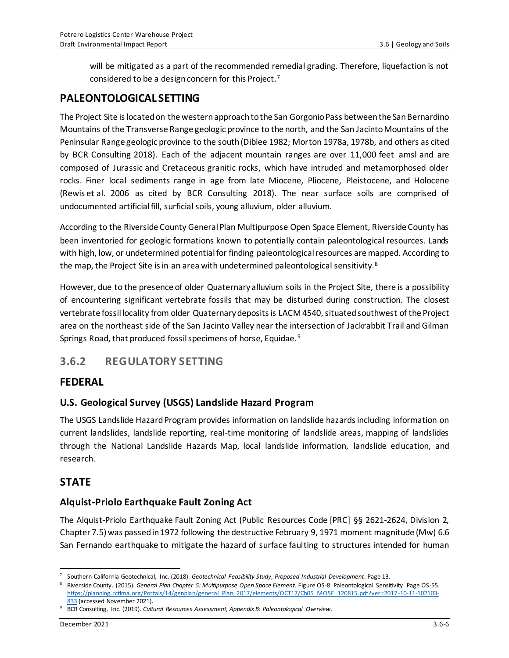will be mitigated as a part of the recommended remedial grading. Therefore, liquefaction is not considered to be a design concern for this Project.<sup>7</sup>

## **PALEONTOLOGICAL SETTING**

The Project Site is located on the western approach to the San Gorgonio Pass between the San Bernardino Mountains of the Transverse Range geologic province to the north, and the San Jacinto Mountains of the Peninsular Range geologic province to the south (Diblee 1982; Morton 1978a, 1978b, and others as cited by BCR Consulting 2018). Each of the adjacent mountain ranges are over 11,000 feet amsl and are composed of Jurassic and Cretaceous granitic rocks, which have intruded and metamorphosed older rocks. Finer local sediments range in age from late Miocene, Pliocene, Pleistocene, and Holocene (Rewis et al. 2006 as cited by BCR Consulting 2018). The near surface soils are comprised of undocumented artificial fill, surficial soils, young alluvium, older alluvium.

According to the Riverside County General Plan Multipurpose Open Space Element, Riverside County has been inventoried for geologic formations known to potentially contain paleontological resources. Lands with high, low, or undetermined potential for finding paleontological resources are mapped. According to the map, the Project Site is in an area with undetermined paleontological sensitivity. $8$ 

However, due to the presence of older Quaternary alluvium soils in the Project Site, there is a possibility of encountering significant vertebrate fossils that may be disturbed during construction. The closest vertebrate fossil locality from older Quaternary deposits is LACM 4540, situated southwest of the Project area on the northeast side of the San Jacinto Valley near the intersection of Jackrabbit Trail and Gilman Springs Road, that produced fossil specimens of horse, Equidae. <sup>9</sup>

# **3.6.2 REGULATORY SETTING**

## **FEDERAL**

## **U.S. Geological Survey (USGS) Landslide Hazard Program**

The USGS Landslide Hazard Program provides information on landslide hazards including information on current landslides, landslide reporting, real-time monitoring of landslide areas, mapping of landslides through the National Landslide Hazards Map, local landslide information, landslide education, and research.

## **STATE**

## **Alquist-Priolo Earthquake Fault Zoning Act**

The Alquist-Priolo Earthquake Fault Zoning Act (Public Resources Code [PRC] §§ 2621-2624, Division 2, Chapter 7.5) was passed in 1972 following the destructive February 9, 1971 moment magnitude (Mw) 6.6 San Fernando earthquake to mitigate the hazard of surface faulting to structures intended for human

<sup>7</sup> Southern California Geotechnical, Inc. (2018). *Geotechnical Feasibility Study, Proposed Industrial Development*. Page 13.

<sup>8</sup> Riverside County. (2015). *General Plan Chapter 5: Multipurpose Open Space Element*. Figure OS-8: Paleontological Sensitivity. Page OS-55. [https://planning.rctlma.org/Portals/14/genplan/general\\_Plan\\_2017/elements/OCT17/Ch05\\_MOSE\\_120815.pdf?ver=2017-10-11-102103-](https://planning.rctlma.org/Portals/14/genplan/general_Plan_2017/elements/OCT17/Ch05_MOSE_120815.pdf?ver=2017-10-11-102103-833) [833](https://planning.rctlma.org/Portals/14/genplan/general_Plan_2017/elements/OCT17/Ch05_MOSE_120815.pdf?ver=2017-10-11-102103-833) (accessed November 2021).

<sup>9</sup> BCR Consulting, Inc. (2019). *Cultural Resources Assessment, Appendix B: Paleontological Overview*.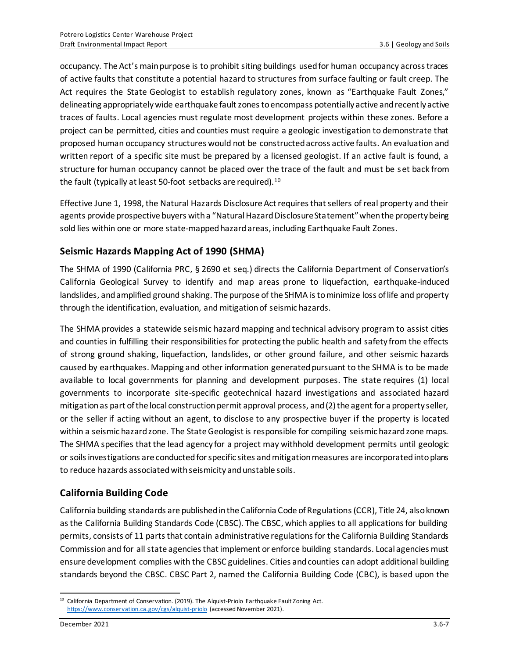occupancy. The Act's main purpose is to prohibit siting buildings used for human occupancy across traces of active faults that constitute a potential hazard to structures from surface faulting or fault creep. The Act requires the State Geologist to establish regulatory zones, known as "Earthquake Fault Zones," delineating appropriately wide earthquake fault zones to encompass potentially active and recently active traces of faults. Local agencies must regulate most development projects within these zones. Before a project can be permitted, cities and counties must require a geologic investigation to demonstrate that proposed human occupancy structures would not be constructed across active faults. An evaluation and written report of a specific site must be prepared by a licensed geologist. If an active fault is found, a structure for human occupancy cannot be placed over the trace of the fault and must be set back from the fault (typically at least 50-foot setbacks are required).<sup>10</sup>

Effective June 1, 1998, the Natural Hazards Disclosure Act requires that sellers of real property and their agents provide prospective buyers with a "Natural Hazard Disclosure Statement" when the property being sold lies within one or more state-mapped hazard areas, including Earthquake Fault Zones.

## **Seismic Hazards Mapping Act of 1990 (SHMA)**

The SHMA of 1990 (California PRC, § 2690 et seq.) directs the California Department of Conservation's California Geological Survey to identify and map areas prone to liquefaction, earthquake-induced landslides, and amplified ground shaking. The purpose of the SHMA is to minimize loss of life and property through the identification, evaluation, and mitigation of seismic hazards.

The SHMA provides a statewide seismic hazard mapping and technical advisory program to assist cities and counties in fulfilling their responsibilities for protecting the public health and safety from the effects of strong ground shaking, liquefaction, landslides, or other ground failure, and other seismic hazards caused by earthquakes. Mapping and other information generated pursuant to the SHMA is to be made available to local governments for planning and development purposes. The state requires (1) local governments to incorporate site-specific geotechnical hazard investigations and associated hazard mitigation as part of the local construction permit approval process, and (2) the agent for a property seller, or the seller if acting without an agent, to disclose to any prospective buyer if the property is located within a seismic hazard zone. The State Geologist is responsible for compiling seismic hazard zone maps. The SHMA specifies that the lead agency for a project may withhold development permits until geologic or soils investigations are conducted for specific sites and mitigation measures are incorporated into plans to reduce hazards associated with seismicity and unstable soils.

## **California Building Code**

California building standards are published in the California Code of Regulations(CCR), Title 24, also known as the California Building Standards Code (CBSC). The CBSC, which applies to all applications for building permits, consists of 11 parts that contain administrative regulations for the California Building Standards Commission and for all state agencies that implement or enforce building standards. Local agencies must ensure development complies with the CBSC guidelines. Cities and counties can adopt additional building standards beyond the CBSC. CBSC Part 2, named the California Building Code (CBC), is based upon the

<sup>&</sup>lt;sup>10</sup> California Department of Conservation. (2019). The Alquist-Priolo Earthquake Fault Zoning Act. <https://www.conservation.ca.gov/cgs/alquist-priolo> (accessed November 2021).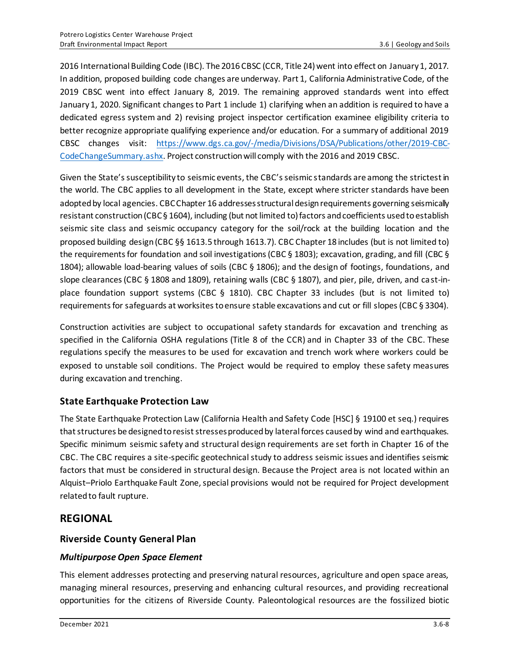2016 International Building Code (IBC). The 2016 CBSC (CCR, Title 24) went into effect on January 1, 2017. In addition, proposed building code changes are underway. Part 1, California Administrative Code, of the 2019 CBSC went into effect January 8, 2019. The remaining approved standards went into effect January 1, 2020. Significant changes to Part 1 include 1) clarifying when an addition is required to have a dedicated egress system and 2) revising project inspector certification examinee eligibility criteria to better recognize appropriate qualifying experience and/or education. For a summary of additional 2019 CBSC changes visit: [https://www.dgs.ca.gov/-/media/Divisions/DSA/Publications/other/2019-CBC-](https://www.dgs.ca.gov/-/media/Divisions/DSA/Publications/other/2019-CBC-CodeChangeSummary.ashx)[CodeChangeSummary.ashx](https://www.dgs.ca.gov/-/media/Divisions/DSA/Publications/other/2019-CBC-CodeChangeSummary.ashx). Project construction will comply with the 2016 and 2019 CBSC.

Given the State's susceptibility to seismic events, the CBC's seismic standards are among the strictest in the world. The CBC applies to all development in the State, except where stricter standards have been adopted by local agencies. CBC Chapter 16 addressesstructural design requirements governing seismically resistant construction (CBC § 1604), including (but not limited to) factors and coefficients used to establish seismic site class and seismic occupancy category for the soil/rock at the building location and the proposed building design (CBC §§ 1613.5 through 1613.7). CBC Chapter 18 includes (but is not limited to) the requirements for foundation and soil investigations (CBC § 1803); excavation, grading, and fill (CBC § 1804); allowable load-bearing values of soils (CBC § 1806); and the design of footings, foundations, and slope clearances (CBC § 1808 and 1809), retaining walls (CBC § 1807), and pier, pile, driven, and cast-inplace foundation support systems (CBC § 1810). CBC Chapter 33 includes (but is not limited to) requirements for safeguards at worksites to ensure stable excavations and cut or fill slopes (CBC § 3304).

Construction activities are subject to occupational safety standards for excavation and trenching as specified in the California OSHA regulations (Title 8 of the CCR) and in Chapter 33 of the CBC. These regulations specify the measures to be used for excavation and trench work where workers could be exposed to unstable soil conditions. The Project would be required to employ these safety measures during excavation and trenching.

### **State Earthquake Protection Law**

The State Earthquake Protection Law (California Health and Safety Code [HSC] § 19100 et seq.) requires that structures be designed to resist stresses produced by lateral forces caused by wind and earthquakes. Specific minimum seismic safety and structural design requirements are set forth in Chapter 16 of the CBC. The CBC requires a site-specific geotechnical study to address seismic issues and identifies seismic factors that must be considered in structural design. Because the Project area is not located within an Alquist–Priolo Earthquake Fault Zone, special provisions would not be required for Project development related to fault rupture.

## **REGIONAL**

### **Riverside County General Plan**

### *Multipurpose Open Space Element*

This element addresses protecting and preserving natural resources, agriculture and open space areas, managing mineral resources, preserving and enhancing cultural resources, and providing recreational opportunities for the citizens of Riverside County. Paleontological resources are the fossilized biotic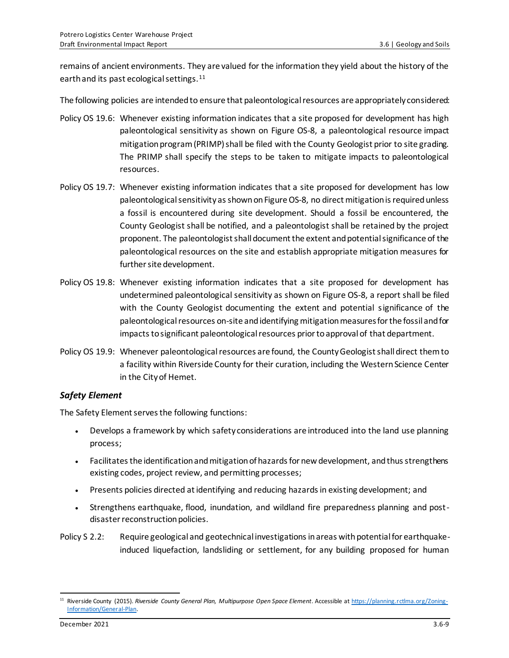remains of ancient environments. They are valued for the information they yield about the history of the earth and its past ecological settings.<sup>11</sup>

The following policies are intended to ensure that paleontological resources are appropriately considered:

- Policy OS 19.6: Whenever existing information indicates that a site proposed for development has high paleontological sensitivity as shown on Figure OS-8, a paleontological resource impact mitigation program (PRIMP) shall be filed with the County Geologist prior to site grading. The PRIMP shall specify the steps to be taken to mitigate impacts to paleontological resources.
- Policy OS 19.7: Whenever existing information indicates that a site proposed for development has low paleontological sensitivity as shown on Figure OS-8, no direct mitigation is required unless a fossil is encountered during site development. Should a fossil be encountered, the County Geologist shall be notified, and a paleontologist shall be retained by the project proponent. The paleontologist shall document the extent and potential significance of the paleontological resources on the site and establish appropriate mitigation measures for further site development.
- Policy OS 19.8: Whenever existing information indicates that a site proposed for development has undetermined paleontological sensitivity as shown on Figure OS-8, a report shall be filed with the County Geologist documenting the extent and potential significance of the paleontological resources on-site and identifying mitigation measures for the fossil and for impacts to significant paleontological resources prior to approval of that department.
- Policy OS 19.9: Whenever paleontological resources are found, the County Geologist shall direct them to a facility within Riverside County for their curation, including the Western Science Center in the City of Hemet.

#### *Safety Element*

The Safety Element serves the following functions:

- Develops a framework by which safety considerations are introduced into the land use planning process;
- Facilitates the identification and mitigation of hazards for new development, and thus strengthens existing codes, project review, and permitting processes;
- Presents policies directed at identifying and reducing hazards in existing development; and
- Strengthens earthquake, flood, inundation, and wildland fire preparedness planning and postdisaster reconstruction policies.
- Policy S 2.2: Require geological and geotechnical investigations in areas with potential for earthquakeinduced liquefaction, landsliding or settlement, for any building proposed for human

<sup>11</sup> Riverside County (2015). *Riverside County General Plan, Multipurpose Open Space Element*. Accessible a[t https://planning.rctlma.org/Zoning-](https://planning.rctlma.org/Zoning-Information/General-Plan)[Information/General-Plan.](https://planning.rctlma.org/Zoning-Information/General-Plan)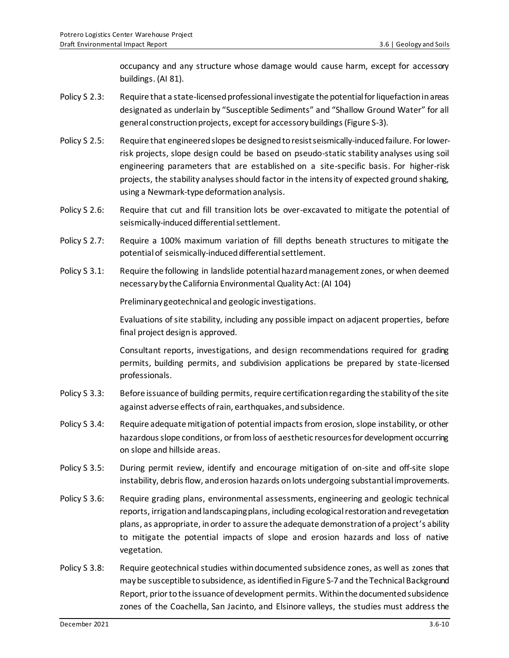occupancy and any structure whose damage would cause harm, except for accessory buildings. (AI 81).

- Policy S 2.3: Require that a state-licensed professional investigate the potential for liquefaction in areas designated as underlain by "Susceptible Sediments" and "Shallow Ground Water" for all general construction projects, except for accessory buildings (Figure S-3).
- Policy S 2.5: Require that engineered slopes be designed to resist seismically-induced failure. For lowerrisk projects, slope design could be based on pseudo-static stability analyses using soil engineering parameters that are established on a site-specific basis. For higher-risk projects, the stability analyses should factor in the intensity of expected ground shaking, using a Newmark-type deformation analysis.
- Policy S 2.6: Require that cut and fill transition lots be over-excavated to mitigate the potential of seismically-induced differential settlement.
- Policy S 2.7: Require a 100% maximum variation of fill depths beneath structures to mitigate the potential of seismically-induced differential settlement.
- Policy S 3.1: Require the following in landslide potential hazard management zones, or when deemed necessary by the California Environmental Quality Act: (AI 104)

Preliminary geotechnical and geologic investigations.

Evaluations of site stability, including any possible impact on adjacent properties, before final project design is approved.

Consultant reports, investigations, and design recommendations required for grading permits, building permits, and subdivision applications be prepared by state-licensed professionals.

- Policy S 3.3: Before issuance of building permits, require certification regarding the stability of the site against adverse effects of rain, earthquakes, and subsidence.
- Policy S 3.4: Require adequate mitigation of potential impacts from erosion, slope instability, or other hazardous slope conditions, or from loss of aesthetic resources for development occurring on slope and hillside areas.
- Policy S 3.5: During permit review, identify and encourage mitigation of on-site and off-site slope instability, debris flow, and erosion hazards on lots undergoing substantial improvements.
- Policy S 3.6: Require grading plans, environmental assessments, engineering and geologic technical reports, irrigation and landscaping plans, including ecological restoration and revegetation plans, as appropriate, in order to assure the adequate demonstration of a project's ability to mitigate the potential impacts of slope and erosion hazards and loss of native vegetation.
- Policy S 3.8: Require geotechnical studies within documented subsidence zones, as well as zones that may be susceptible to subsidence, as identified in Figure S-7 and the Technical Background Report, prior to the issuance of development permits. Within the documented subsidence zones of the Coachella, San Jacinto, and Elsinore valleys, the studies must address the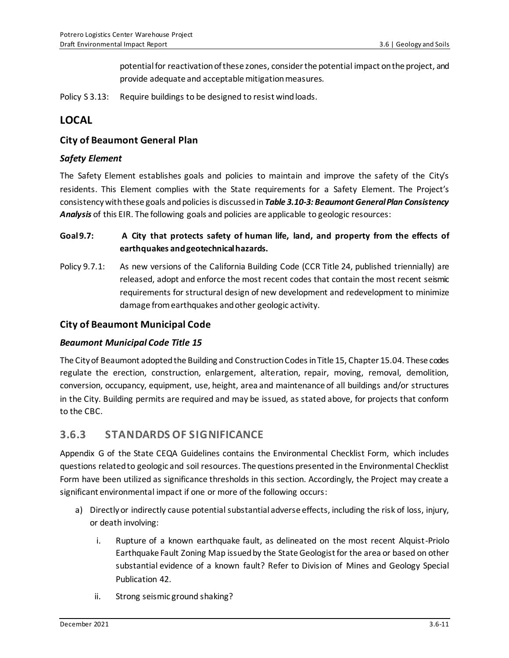potential for reactivation of these zones, consider the potential impact on the project, and provide adequate and acceptable mitigation measures.

Policy S 3.13: Require buildings to be designed to resist wind loads.

# **LOCAL**

### **City of Beaumont General Plan**

### *Safety Element*

The Safety Element establishes goals and policies to maintain and improve the safety of the City's residents. This Element complies with the State requirements for a Safety Element. The Project's consistency with these goals and policies is discussed in *Table 3.10-3: Beaumont General Plan Consistency Analysis* of this EIR. The following goals and policies are applicable to geologic resources:

### **Goal 9.7: A City that protects safety of human life, land, and property from the effects of earthquakes and geotechnical hazards.**

Policy 9.7.1: As new versions of the California Building Code (CCR Title 24, published triennially) are released, adopt and enforce the most recent codes that contain the most recent seismic requirements for structural design of new development and redevelopment to minimize damage from earthquakes and other geologic activity.

### **City of Beaumont Municipal Code**

#### *Beaumont Municipal Code Title 15*

The City of Beaumont adopted the Building and Construction Codes in Title 15, Chapter 15.04. These codes regulate the erection, construction, enlargement, alteration, repair, moving, removal, demolition, conversion, occupancy, equipment, use, height, area and maintenance of all buildings and/or structures in the City. Building permits are required and may be issued, as stated above, for projects that conform to the CBC.

## **3.6.3 STANDARDS OF SIGNIFICANCE**

Appendix G of the State CEQA Guidelines contains the Environmental Checklist Form, which includes questions related to geologic and soil resources. The questions presented in the Environmental Checklist Form have been utilized as significance thresholds in this section. Accordingly, the Project may create a significant environmental impact if one or more of the following occurs:

- a) Directlyor indirectly cause potential substantial adverse effects, including the risk of loss, injury, or death involving:
	- i. Rupture of a known earthquake fault, as delineated on the most recent Alquist-Priolo Earthquake Fault Zoning Map issued by the State Geologist for the area or based on other substantial evidence of a known fault? Refer to Division of Mines and Geology Special Publication 42.
	- ii. Strong seismic ground shaking?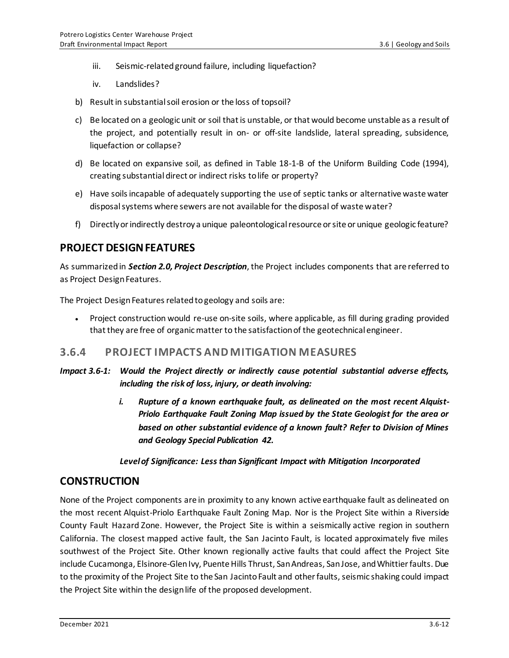- iii. Seismic-related ground failure, including liquefaction?
- iv. Landslides?
- b) Result in substantial soil erosion or the loss of topsoil?
- c) Be located on a geologic unit or soil that is unstable, or that would become unstable as a result of the project, and potentially result in on- or off-site landslide, lateral spreading, subsidence, liquefaction or collapse?
- d) Be located on expansive soil, as defined in Table 18-1-B of the Uniform Building Code (1994), creating substantial direct or indirect risks to life or property?
- e) Have soils incapable of adequately supporting the use of septic tanks or alternative waste water disposal systems where sewers are not available for the disposal of waste water?
- f) Directly or indirectly destroy a unique paleontological resource or site or unique geologic feature?

## **PROJECT DESIGN FEATURES**

As summarized in *Section 2.0, Project Description*, the Project includes components that are referred to as Project Design Features.

The Project Design Features related to geology and soils are:

• Project construction would re-use on-site soils, where applicable, as fill during grading provided that they are free of organic matter to the satisfaction of the geotechnical engineer.

### **3.6.4 PROJECT IMPACTS AND MITIGATION MEASURES**

- *Impact 3.6-1: Would the Project directly or indirectly cause potential substantial adverse effects, including the risk of loss, injury, or death involving:*
	- *i. Rupture of a known earthquake fault, as delineated on the most recent Alquist-Priolo Earthquake Fault Zoning Map issued by the State Geologist for the area or based on other substantial evidence of a known fault? Refer to Division of Mines and Geology Special Publication 42.*

*Level of Significance: Less than Significant Impact with Mitigation Incorporated*

### **CONSTRUCTION**

None of the Project components are in proximity to any known active earthquake fault as delineated on the most recent Alquist-Priolo Earthquake Fault Zoning Map. Nor is the Project Site within a Riverside County Fault Hazard Zone. However, the Project Site is within a seismically active region in southern California. The closest mapped active fault, the San Jacinto Fault, is located approximately five miles southwest of the Project Site. Other known regionally active faults that could affect the Project Site include Cucamonga, Elsinore-Glen Ivy, Puente Hills Thrust, San Andreas, San Jose, and Whittier faults. Due to the proximity of the Project Site to the San Jacinto Fault and other faults, seismic shaking could impact the Project Site within the design life of the proposed development.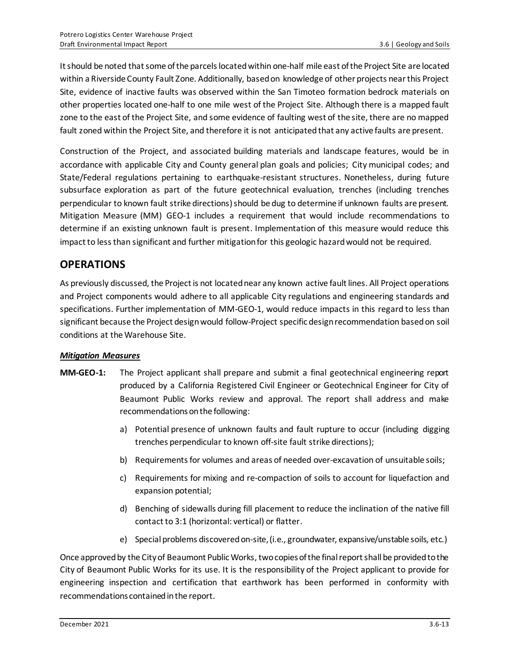It should be noted that some of the parcels located within one-half mile east of the Project Site are located within a Riverside County Fault Zone. Additionally, based on knowledge of other projects near this Project Site, evidence of inactive faults was observed within the San Timoteo formation bedrock materials on other properties located one-half to one mile west of the Project Site. Although there is a mapped fault zone to the east of the Project Site, and some evidence of faulting west of the site, there are no mapped fault zoned within the Project Site, and therefore it is not anticipated that any active faults are present.

Construction of the Project, and associated building materials and landscape features, would be in accordance with applicable City and County general plan goals and policies; City municipal codes; and State/Federal regulations pertaining to earthquake-resistant structures. Nonetheless, during future subsurface exploration as part of the future geotechnical evaluation, trenches (including trenches perpendicular to known fault strike directions)should be dug to determine if unknown faults are present. Mitigation Measure (MM) GEO-1 includes a requirement that would include recommendations to determine if an existing unknown fault is present. Implementation of this measure would reduce this impact to less than significant and further mitigation for this geologic hazard would not be required.

# **OPERATIONS**

As previously discussed, the Project is not located near any known active fault lines. All Project operations and Project components would adhere to all applicable City regulations and engineering standards and specifications. Further implementation of MM-GEO-1, would reduce impacts in this regard to less than significant because the Project design would follow-Project specific design recommendation based on soil conditions at the Warehouse Site.

#### *Mitigation Measures*

- **MM-GEO-1:** The Project applicant shall prepare and submit a final geotechnical engineering report produced by a California Registered Civil Engineer or Geotechnical Engineer for City of Beaumont Public Works review and approval. The report shall address and make recommendations on the following:
	- a) Potential presence of unknown faults and fault rupture to occur (including digging trenches perpendicular to known off-site fault strike directions);
	- b) Requirements for volumes and areas of needed over-excavation of unsuitable soils;
	- c) Requirements for mixing and re-compaction of soils to account for liquefaction and expansion potential;
	- d) Benching of sidewalls during fill placement to reduce the inclination of the native fill contact to 3:1 (horizontal: vertical) or flatter.
	- e) Special problems discovered on-site, (i.e*.*, groundwater, expansive/unstable soils, etc.)

Once approved by the City of Beaumont Public Works, two copies of the final report shall be provided to the City of Beaumont Public Works for its use. It is the responsibility of the Project applicant to provide for engineering inspection and certification that earthwork has been performed in conformity with recommendations contained in the report.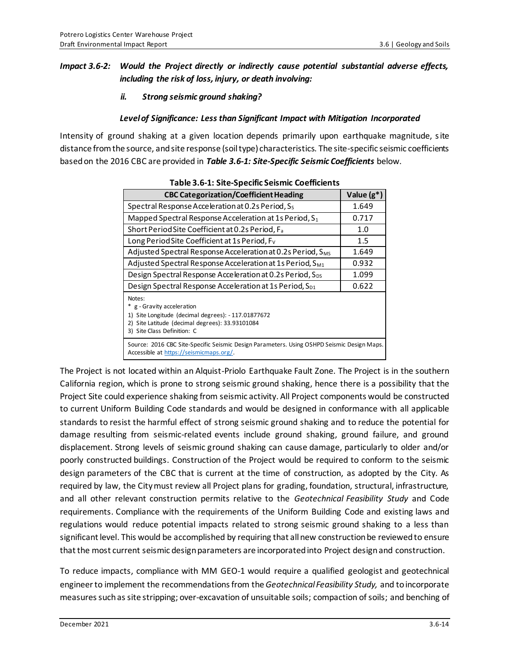### *Impact 3.6-2: Would the Project directly or indirectly cause potential substantial adverse effects, including the risk of loss, injury, or death involving:*

*ii. Strong seismic ground shaking?*

#### *Level of Significance: Less than Significant Impact with Mitigation Incorporated*

Intensity of ground shaking at a given location depends primarily upon earthquake magnitude, site distance from the source, and site response (soil type) characteristics. The site-specific seismic coefficients based on the 2016 CBC are provided in *Table 3.6-1: Site-Specific Seismic Coefficients* below.

| apic sid in site specific sensitive coefficities                                                                                                                              |               |
|-------------------------------------------------------------------------------------------------------------------------------------------------------------------------------|---------------|
| <b>CBC Categorization/Coefficient Heading</b>                                                                                                                                 | Value $(g^*)$ |
| Spectral Response Acceleration at 0.2s Period, S <sub>s</sub>                                                                                                                 | 1.649         |
| Mapped Spectral Response Acceleration at 1s Period, S1                                                                                                                        | 0.717         |
| Short Period Site Coefficient at 0.2s Period, F <sub>a</sub>                                                                                                                  | 1.0           |
| Long Period Site Coefficient at 1s Period, F <sub>v</sub>                                                                                                                     | 1.5           |
| Adjusted Spectral Response Acceleration at 0.2s Period, S <sub>MS</sub>                                                                                                       | 1.649         |
| Adjusted Spectral Response Acceleration at 1s Period, S <sub>M1</sub>                                                                                                         | 0.932         |
| Design Spectral Response Acceleration at 0.2s Period, S <sub>ps</sub>                                                                                                         | 1.099         |
| Design Spectral Response Acceleration at 1s Period, S <sub>D1</sub>                                                                                                           | 0.622         |
| Notes:<br>* g - Gravity acceleration<br>1) Site Longitude (decimal degrees): - 117.01877672<br>2) Site Latitude (decimal degrees): 33.93101084<br>3) Site Class Definition: C |               |
| Source: 2016 CBC Site-Specific Seismic Design Parameters. Using OSHPD Seismic Design Maps.<br>Accessible at https://seismicmaps.org/.                                         |               |

**Table 3.6-1: Site-Specific Seismic Coefficients**

The Project is not located within an Alquist-Priolo Earthquake Fault Zone. The Project is in the southern California region, which is prone to strong seismic ground shaking, hence there is a possibility that the Project Site could experience shaking from seismic activity. All Project components would be constructed to current Uniform Building Code standards and would be designed in conformance with all applicable standards to resist the harmful effect of strong seismic ground shaking and to reduce the potential for damage resulting from seismic-related events include ground shaking, ground failure, and ground displacement. Strong levels of seismic ground shaking can cause damage, particularly to older and/or poorly constructed buildings. Construction of the Project would be required to conform to the seismic design parameters of the CBC that is current at the time of construction, as adopted by the City. As required by law, the City must review all Project plans for grading, foundation, structural, infrastructure, and all other relevant construction permits relative to the *Geotechnical Feasibility Study* and Code requirements. Compliance with the requirements of the Uniform Building Code and existing laws and regulations would reduce potential impacts related to strong seismic ground shaking to a less than significant level. This would be accomplished by requiring that all new construction be reviewed to ensure that the most current seismic design parameters are incorporated into Project design and construction.

To reduce impacts, compliance with MM GEO-1 would require a qualified geologist and geotechnical engineer to implement the recommendations from the *Geotechnical Feasibility Study,* and to incorporate measures such as site stripping; over-excavation of unsuitable soils; compaction of soils; and benching of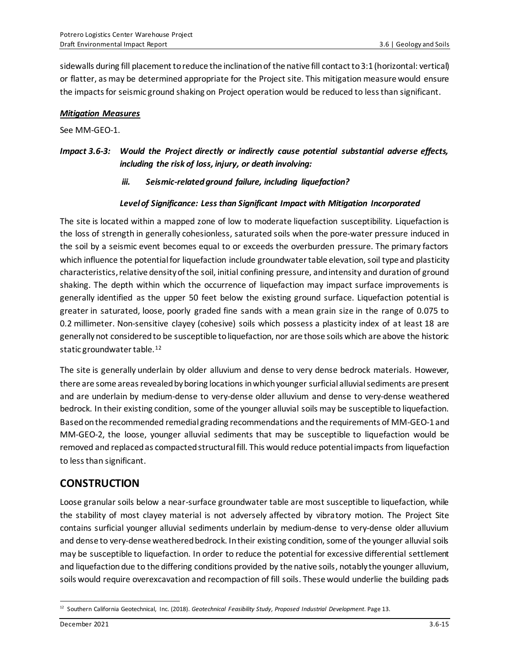sidewalls during fill placement to reduce the inclination of the native fill contact to 3:1 (horizontal: vertical) or flatter, as may be determined appropriate for the Project site. This mitigation measure would ensure the impacts for seismic ground shaking on Project operation would be reduced to less than significant.

#### *Mitigation Measures*

See MM-GEO-1.

### *Impact 3.6-3: Would the Project directly or indirectly cause potential substantial adverse effects, including the risk of loss, injury, or death involving:*

*iii. Seismic-related ground failure, including liquefaction?*

#### *Level of Significance: Less than Significant Impact with Mitigation Incorporated*

The site is located within a mapped zone of low to moderate liquefaction susceptibility. Liquefaction is the loss of strength in generally cohesionless, saturated soils when the pore-water pressure induced in the soil by a seismic event becomes equal to or exceeds the overburden pressure. The primary factors which influence the potential for liquefaction include groundwater table elevation, soil type and plasticity characteristics, relative density of the soil, initial confining pressure, and intensity and duration of ground shaking. The depth within which the occurrence of liquefaction may impact surface improvements is generally identified as the upper 50 feet below the existing ground surface. Liquefaction potential is greater in saturated, loose, poorly graded fine sands with a mean grain size in the range of 0.075 to 0.2 millimeter. Non-sensitive clayey (cohesive) soils which possess a plasticity index of at least 18 are generally not considered to be susceptible to liquefaction, nor are those soils which are above the historic static groundwater table.<sup>12</sup>

The site is generally underlain by older alluvium and dense to very dense bedrock materials. However, there are some areas revealed by boring locations in which younger surficial alluvial sediments are present and are underlain by medium-dense to very-dense older alluvium and dense to very-dense weathered bedrock. In their existing condition, some of the younger alluvial soils may be susceptible to liquefaction. Based on the recommended remedial grading recommendations and the requirements of MM-GEO-1 and MM-GEO-2, the loose, younger alluvial sediments that may be susceptible to liquefaction would be removed and replaced as compacted structural fill. This would reduce potential impacts from liquefaction to less than significant.

## **CONSTRUCTION**

Loose granular soils below a near-surface groundwater table are most susceptible to liquefaction, while the stability of most clayey material is not adversely affected by vibratory motion. The Project Site contains surficial younger alluvial sediments underlain by medium-dense to very-dense older alluvium and dense to very-dense weathered bedrock. In their existing condition, some of the younger alluvial soils may be susceptible to liquefaction. In order to reduce the potential for excessive differential settlement and liquefaction due to the differing conditions provided by the native soils, notably the younger alluvium, soils would require overexcavation and recompaction of fill soils. These would underlie the building pads

<sup>12</sup> Southern California Geotechnical, Inc. (2018). *Geotechnical Feasibility Study, Proposed Industrial Development*. Page 13.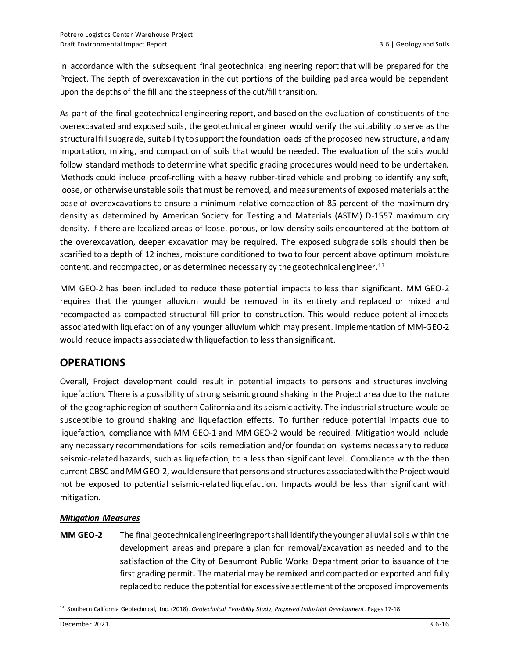in accordance with the subsequent final geotechnical engineering report that will be prepared for the Project. The depth of overexcavation in the cut portions of the building pad area would be dependent upon the depths of the fill and the steepness of the cut/fill transition.

As part of the final geotechnical engineering report, and based on the evaluation of constituents of the overexcavated and exposed soils, the geotechnical engineer would verify the suitability to serve as the structural fill subgrade, suitability to support the foundation loads of the proposed new structure, and any importation, mixing, and compaction of soils that would be needed. The evaluation of the soils would follow standard methods to determine what specific grading procedures would need to be undertaken. Methods could include proof-rolling with a heavy rubber-tired vehicle and probing to identify any soft, loose, or otherwise unstable soils that must be removed, and measurements of exposed materials at the base of overexcavations to ensure a minimum relative compaction of 85 percent of the maximum dry density as determined by American Society for Testing and Materials (ASTM) D-1557 maximum dry density. If there are localized areas of loose, porous, or low-density soils encountered at the bottom of the overexcavation, deeper excavation may be required. The exposed subgrade soils should then be scarified to a depth of 12 inches, moisture conditioned to two to four percent above optimum moisture content, and recompacted, or as determined necessary by the geotechnical engineer. 13

MM GEO-2 has been included to reduce these potential impacts to less than significant. MM GEO-2 requires that the younger alluvium would be removed in its entirety and replaced or mixed and recompacted as compacted structural fill prior to construction. This would reduce potential impacts associated with liquefaction of any younger alluvium which may present. Implementation of MM-GEO-2 would reduce impacts associated with liquefaction to less than significant.

## **OPERATIONS**

Overall, Project development could result in potential impacts to persons and structures involving liquefaction. There is a possibility of strong seismic ground shaking in the Project area due to the nature of the geographic region of southern California and its seismic activity. The industrial structure would be susceptible to ground shaking and liquefaction effects. To further reduce potential impacts due to liquefaction, compliance with MM GEO-1 and MM GEO-2 would be required. Mitigation would include any necessary recommendations for soils remediation and/or foundation systems necessary to reduce seismic-related hazards, such as liquefaction, to a less than significant level. Compliance with the then current CBSC and MM GEO-2, would ensure that persons and structures associated with the Project would not be exposed to potential seismic-related liquefaction. Impacts would be less than significant with mitigation.

#### *Mitigation Measures*

**MM GEO-2** The final geotechnical engineering report shall identify the younger alluvial soils within the development areas and prepare a plan for removal/excavation as needed and to the satisfaction of the City of Beaumont Public Works Department prior to issuance of the first grading permit*.* The material may be remixed and compacted or exported and fully replaced to reduce the potential for excessive settlement of the proposed improvements

<sup>13</sup> Southern California Geotechnical, Inc. (2018). *Geotechnical Feasibility Study, Proposed Industrial Development*. Pages 17-18.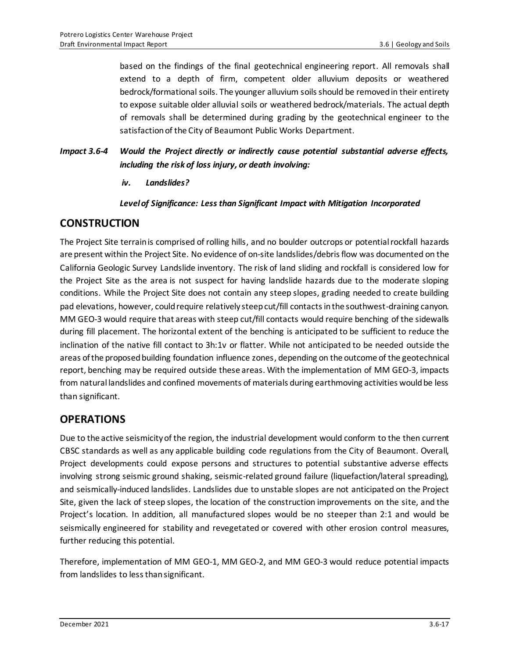based on the findings of the final geotechnical engineering report. All removals shall extend to a depth of firm, competent older alluvium deposits or weathered bedrock/formational soils. The younger alluvium soils should be removed in their entirety to expose suitable older alluvial soils or weathered bedrock/materials. The actual depth of removals shall be determined during grading by the geotechnical engineer to the satisfaction of the City of Beaumont Public Works Department.

*Impact 3.6-4 Would the Project directly or indirectly cause potential substantial adverse effects, including the risk of loss injury, or death involving:*

#### *iv. Landslides?*

#### *Level of Significance: Less than Significant Impact with Mitigation Incorporated*

## **CONSTRUCTION**

The Project Site terrain is comprised of rolling hills, and no boulder outcrops or potential rockfall hazards are present within the Project Site. No evidence of on-site landslides/debris flow was documented on the California Geologic Survey Landslide inventory. The risk of land sliding and rockfall is considered low for the Project Site as the area is not suspect for having landslide hazards due to the moderate sloping conditions. While the Project Site does not contain any steep slopes, grading needed to create building pad elevations, however, could require relatively steep cut/fill contacts in the southwest-draining canyon. MM GEO-3 would require that areas with steep cut/fill contacts would require benching of the sidewalls during fill placement. The horizontal extent of the benching is anticipated to be sufficient to reduce the inclination of the native fill contact to 3h:1v or flatter. While not anticipated to be needed outside the areas of the proposed building foundation influence zones, depending on the outcome of the geotechnical report, benching may be required outside these areas. With the implementation of MM GEO-3, impacts from natural landslides and confined movements of materials during earthmoving activities would be less than significant.

## **OPERATIONS**

Due to the active seismicity of the region, the industrial development would conform to the then current CBSC standards as well as any applicable building code regulations from the City of Beaumont. Overall, Project developments could expose persons and structures to potential substantive adverse effects involving strong seismic ground shaking, seismic-related ground failure (liquefaction/lateral spreading), and seismically-induced landslides. Landslides due to unstable slopes are not anticipated on the Project Site, given the lack of steep slopes, the location of the construction improvements on the site, and the Project's location. In addition, all manufactured slopes would be no steeper than 2:1 and would be seismically engineered for stability and revegetated or covered with other erosion control measures, further reducing this potential.

Therefore, implementation of MM GEO-1, MM GEO-2, and MM GEO-3 would reduce potential impacts from landslides to less than significant.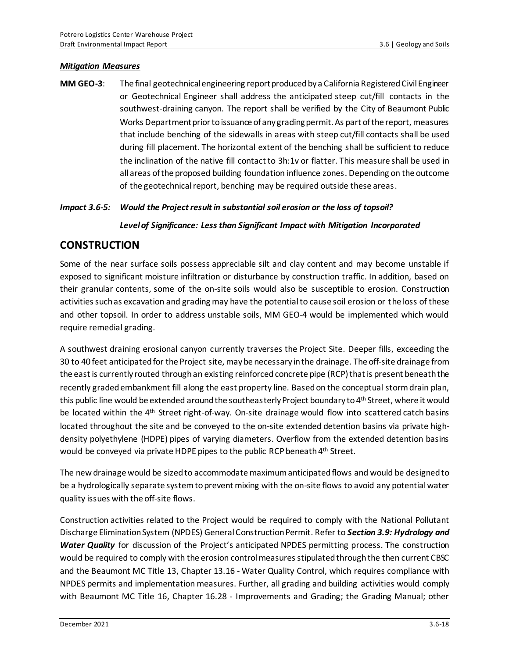#### *Mitigation Measures*

**MM GEO-3**: The final geotechnical engineering report produced by a California Registered Civil Engineer or Geotechnical Engineer shall address the anticipated steep cut/fill contacts in the southwest-draining canyon. The report shall be verified by the City of Beaumont Public Works Department prior to issuance of any grading permit.As part of the report, measures that include benching of the sidewalls in areas with steep cut/fill contacts shall be used during fill placement. The horizontal extent of the benching shall be sufficient to reduce the inclination of the native fill contact to 3h:1v or flatter. This measure shall be used in all areas of the proposed building foundation influence zones. Depending on the outcome of the geotechnical report, benching may be required outside these areas.

#### *Impact 3.6-5: Would the Project result in substantial soil erosion or the loss of topsoil?*

#### *Level of Significance: Less than Significant Impact with Mitigation Incorporated*

### **CONSTRUCTION**

Some of the near surface soils possess appreciable silt and clay content and may become unstable if exposed to significant moisture infiltration or disturbance by construction traffic. In addition, based on their granular contents, some of the on-site soils would also be susceptible to erosion. Construction activities such as excavation and grading may have the potential to cause soil erosion or the loss of these and other topsoil. In order to address unstable soils, MM GEO-4 would be implemented which would require remedial grading.

A southwest draining erosional canyon currently traverses the Project Site. Deeper fills, exceeding the 30 to 40 feet anticipated for the Project site, may be necessary in the drainage. The off-site drainage from the east is currently routed through an existing reinforced concrete pipe (RCP) that is present beneath the recently graded embankment fill along the east property line. Based on the conceptual storm drain plan, this public line would be extended around the southeasterly Project boundary to 4<sup>th</sup> Street, where it would be located within the 4<sup>th</sup> Street right-of-way. On-site drainage would flow into scattered catch basins located throughout the site and be conveyed to the on-site extended detention basins via private highdensity polyethylene (HDPE) pipes of varying diameters. Overflow from the extended detention basins would be conveyed via private HDPE pipes to the public RCP beneath 4<sup>th</sup> Street.

The new drainage would be sized to accommodate maximum anticipated flows and would be designed to be a hydrologically separate system to prevent mixing with the on-site flows to avoid any potential water quality issues with the off-site flows.

Construction activities related to the Project would be required to comply with the National Pollutant Discharge Elimination System (NPDES) General Construction Permit. Refer to *Section 3.9: Hydrology and Water Quality* for discussion of the Project's anticipated NPDES permitting process. The construction would be required to comply with the erosion control measures stipulated through the then current CBSC and the Beaumont MC Title 13, Chapter 13.16 - Water Quality Control, which requires compliance with NPDES permits and implementation measures. Further, all grading and building activities would comply with Beaumont MC Title 16, Chapter 16.28 - Improvements and Grading; the Grading Manual; other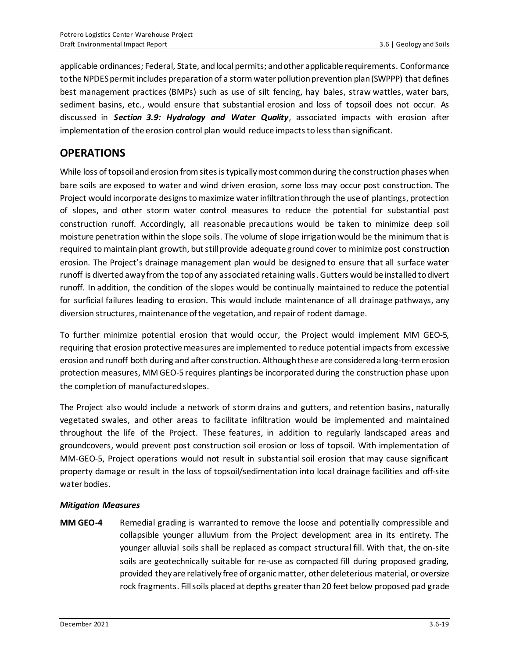applicable ordinances; Federal, State, and local permits; and other applicable requirements. Conformance to the NPDES permit includes preparation of a stormwater pollution prevention plan (SWPPP) that defines best management practices (BMPs) such as use of silt fencing, hay bales, straw wattles, water bars, sediment basins, etc., would ensure that substantial erosion and loss of topsoil does not occur. As discussed in *Section 3.9: Hydrology and Water Quality*, associated impacts with erosion after implementation of the erosion control plan would reduce impacts to less than significant.

# **OPERATIONS**

While loss of topsoil and erosion from sites is typically most common during the construction phases when bare soils are exposed to water and wind driven erosion, some loss may occur post construction. The Project would incorporate designs to maximize water infiltration through the use of plantings, protection of slopes, and other storm water control measures to reduce the potential for substantial post construction runoff. Accordingly, all reasonable precautions would be taken to minimize deep soil moisture penetration within the slope soils. The volume of slope irrigation would be the minimum that is required to maintain plant growth, but still provide adequate ground cover to minimize post construction erosion. The Project's drainage management plan would be designed to ensure that all surface water runoff is diverted away from the top of any associated retaining walls. Gutters would be installed to divert runoff. In addition, the condition of the slopes would be continually maintained to reduce the potential for surficial failures leading to erosion. This would include maintenance of all drainage pathways, any diversion structures, maintenance of the vegetation, and repair of rodent damage.

To further minimize potential erosion that would occur, the Project would implement MM GEO-5, requiring that erosion protective measures are implemented to reduce potential impacts from excessive erosion and runoff both during and after construction. Although these are considered a long-termerosion protection measures, MM GEO-5 requires plantings be incorporated during the construction phase upon the completion of manufactured slopes.

The Project also would include a network of storm drains and gutters, and retention basins, naturally vegetated swales, and other areas to facilitate infiltration would be implemented and maintained throughout the life of the Project. These features, in addition to regularly landscaped areas and groundcovers, would prevent post construction soil erosion or loss of topsoil. With implementation of MM-GEO-5, Project operations would not result in substantial soil erosion that may cause significant property damage or result in the loss of topsoil/sedimentation into local drainage facilities and off-site water bodies.

#### *Mitigation Measures*

**MM GEO-4** Remedial grading is warranted to remove the loose and potentially compressible and collapsible younger alluvium from the Project development area in its entirety. The younger alluvial soils shall be replaced as compact structural fill. With that, the on-site soils are geotechnically suitable for re-use as compacted fill during proposed grading, provided they are relatively free of organic matter, other deleterious material, or oversize rock fragments. Fill soils placed at depths greater than 20 feet below proposed pad grade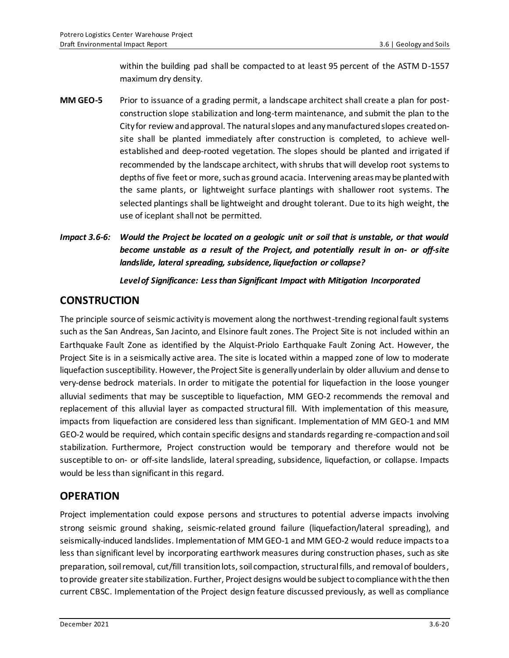within the building pad shall be compacted to at least 95 percent of the ASTM D-1557 maximum dry density.

- **MM GEO-5** Prior to issuance of a grading permit, a landscape architect shall create a plan for postconstruction slope stabilization and long-term maintenance, and submit the plan to the City for review and approval. The natural slopes and any manufactured slopes created onsite shall be planted immediately after construction is completed, to achieve wellestablished and deep-rooted vegetation. The slopes should be planted and irrigated if recommended by the landscape architect, with shrubs that will develop root systems to depths of five feet or more, such as ground acacia. Intervening areas maybe planted with the same plants, or lightweight surface plantings with shallower root systems. The selected plantings shall be lightweight and drought tolerant. Due to its high weight, the use of iceplant shall not be permitted.
- *Impact 3.6-6: Would the Project be located on a geologic unit or soil that is unstable, or that would become unstable as a result of the Project, and potentially result in on- or off-site landslide, lateral spreading, subsidence, liquefaction or collapse?*

*Level of Significance: Less than Significant Impact with Mitigation Incorporated*

# **CONSTRUCTION**

The principle source of seismic activity is movement along the northwest-trending regional fault systems such as the San Andreas, San Jacinto, and Elsinore fault zones. The Project Site is not included within an Earthquake Fault Zone as identified by the Alquist-Priolo Earthquake Fault Zoning Act. However, the Project Site is in a seismically active area. The site is located within a mapped zone of low to moderate liquefaction susceptibility. However, the Project Site is generally underlain by older alluvium and dense to very-dense bedrock materials. In order to mitigate the potential for liquefaction in the loose younger alluvial sediments that may be susceptible to liquefaction, MM GEO-2 recommends the removal and replacement of this alluvial layer as compacted structural fill. With implementation of this measure, impacts from liquefaction are considered less than significant. Implementation of MM GEO-1 and MM GEO-2 would be required, which contain specific designs and standards regarding re-compaction and soil stabilization. Furthermore, Project construction would be temporary and therefore would not be susceptible to on- or off-site landslide, lateral spreading, subsidence, liquefaction, or collapse. Impacts would be less than significant in this regard.

# **OPERATION**

Project implementation could expose persons and structures to potential adverse impacts involving strong seismic ground shaking, seismic-related ground failure (liquefaction/lateral spreading), and seismically-induced landslides. Implementation of MM GEO-1 and MM GEO-2 would reduce impacts to a less than significant level by incorporating earthwork measures during construction phases, such as site preparation, soil removal, cut/fill transition lots, soil compaction, structural fills, and removal of boulders, to provide greater site stabilization. Further, Project designs would be subject to compliance with the then current CBSC. Implementation of the Project design feature discussed previously, as well as compliance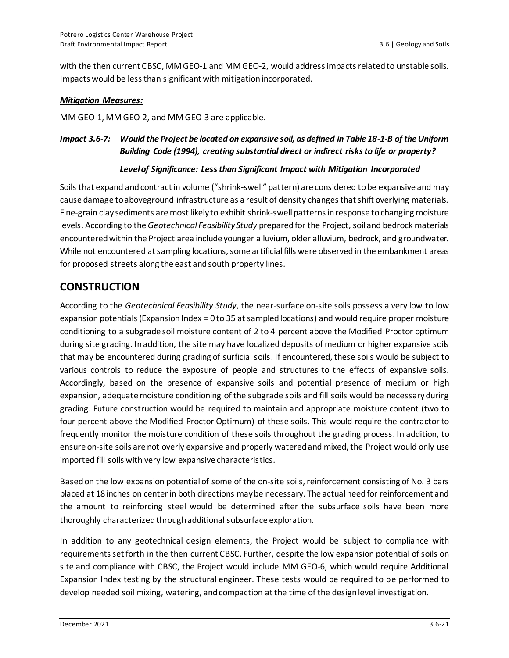with the then current CBSC, MM GEO-1 and MM GEO-2, would address impacts related to unstable soils. Impacts would be less than significant with mitigation incorporated.

#### *Mitigation Measures:*

MM GEO-1, MM GEO-2, and MM GEO-3 are applicable.

### *Impact 3.6-7: Would the Project be located on expansive soil, as defined in Table 18-1-B of the Uniform Building Code (1994), creating substantial direct or indirect risks to life or property?*

#### *Level of Significance: Less than Significant Impact with Mitigation Incorporated*

Soils that expand and contract in volume ("shrink-swell" pattern) are considered to be expansive and may cause damage to aboveground infrastructure as a result of density changes that shift overlying materials. Fine-grain clay sediments are most likely to exhibit shrink-swell patterns in response to changing moisture levels. According to the *Geotechnical Feasibility Study* prepared for the Project, soil and bedrock materials encountered within the Project area include younger alluvium, older alluvium, bedrock, and groundwater. While not encountered at sampling locations, some artificial fills were observed in the embankment areas for proposed streets along the east and south property lines.

## **CONSTRUCTION**

According to the *Geotechnical Feasibility Study*, the near-surface on-site soils possess a very low to low expansion potentials (Expansion Index = 0 to 35 at sampled locations) and would require proper moisture conditioning to a subgrade soil moisture content of 2 to 4 percent above the Modified Proctor optimum during site grading. In addition, the site may have localized deposits of medium or higher expansive soils that may be encountered during grading of surficial soils. If encountered, these soils would be subject to various controls to reduce the exposure of people and structures to the effects of expansive soils. Accordingly, based on the presence of expansive soils and potential presence of medium or high expansion, adequate moisture conditioning of the subgrade soils and fill soils would be necessary during grading. Future construction would be required to maintain and appropriate moisture content (two to four percent above the Modified Proctor Optimum) of these soils. This would require the contractor to frequently monitor the moisture condition of these soils throughout the grading process. In addition, to ensure on-site soils are not overly expansive and properly watered and mixed, the Project would only use imported fill soils with very low expansive characteristics.

Based on the low expansion potential of some of the on-site soils, reinforcement consisting of No. 3 bars placed at 18 inches on center in both directions may be necessary. The actual need for reinforcement and the amount to reinforcing steel would be determined after the subsurface soils have been more thoroughly characterized through additional subsurface exploration.

In addition to any geotechnical design elements, the Project would be subject to compliance with requirements set forth in the then current CBSC. Further, despite the low expansion potential of soils on site and compliance with CBSC, the Project would include MM GEO-6, which would require Additional Expansion Index testing by the structural engineer. These tests would be required to be performed to develop needed soil mixing, watering, and compaction at the time of the design level investigation.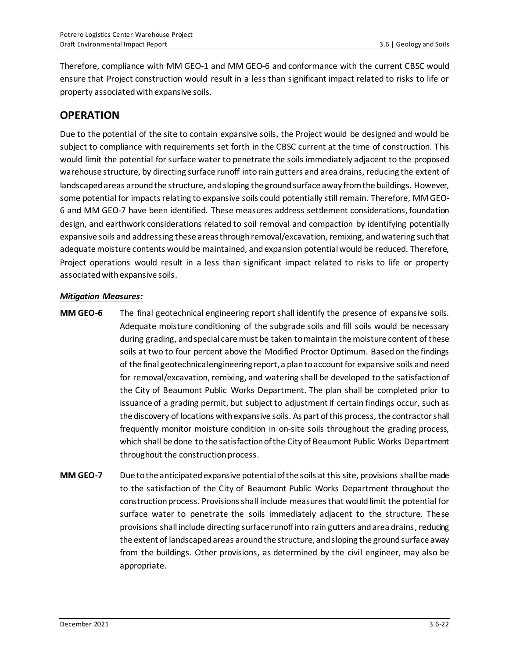Therefore, compliance with MM GEO-1 and MM GEO-6 and conformance with the current CBSC would ensure that Project construction would result in a less than significant impact related to risks to life or property associated with expansive soils.

# **OPERATION**

Due to the potential of the site to contain expansive soils, the Project would be designed and would be subject to compliance with requirements set forth in the CBSC current at the time of construction. This would limit the potential for surface water to penetrate the soils immediately adjacent to the proposed warehouse structure, by directing surface runoff into rain gutters and area drains, reducing the extent of landscaped areas around the structure, and sloping the ground surface away from the buildings. However, some potential for impacts relating to expansive soils could potentially still remain. Therefore, MM GEO-6 and MM GEO-7 have been identified. These measures address settlement considerations, foundation design, and earthwork considerations related to soil removal and compaction by identifying potentially expansive soils and addressing these areas through removal/excavation, remixing, and watering such that adequate moisture contents would be maintained, and expansion potential would be reduced. Therefore, Project operations would result in a less than significant impact related to risks to life or property associated with expansive soils.

#### *Mitigation Measures:*

- **MM GEO-6** The final geotechnical engineering report shall identify the presence of expansive soils. Adequate moisture conditioning of the subgrade soils and fill soils would be necessary during grading, and special care must be taken to maintain themoisture content of these soils at two to four percent above the Modified Proctor Optimum. Based on the findings of the final geotechnical engineering report,a plan to account for expansive soils and need for removal/excavation, remixing, and watering shall be developed to the satisfaction of the City of Beaumont Public Works Department. The plan shall be completed prior to issuance of a grading permit, but subject to adjustment if certain findings occur, such as the discovery of locations with expansive soils. As part of this process, the contractor shall frequently monitor moisture condition in on-site soils throughout the grading process, which shall be done to the satisfaction of the City of Beaumont Public Works Department throughout the construction process.
- **MM GEO-7** Due to the anticipated expansive potential of the soils at this site, provisions shall be made to the satisfaction of the City of Beaumont Public Works Department throughout the construction process. Provisions shall include measures that would limit the potential for surface water to penetrate the soils immediately adjacent to the structure. These provisions shall include directing surface runoff into rain gutters and area drains, reducing the extent of landscaped areas around the structure, and sloping the ground surface away from the buildings. Other provisions, as determined by the civil engineer, may also be appropriate.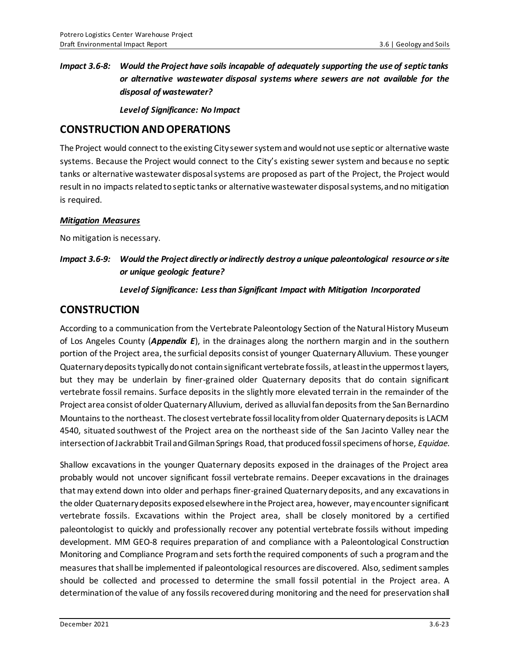## *Impact 3.6-8: Would the Project have soils incapable of adequately supporting the use of septic tanks or alternative wastewater disposal systems where sewers are not available for the disposal of wastewater?*

*Level of Significance: No Impact*

### **CONSTRUCTION AND OPERATIONS**

The Project would connect to the existing City sewer system and wouldnot use septic or alternative waste systems. Because the Project would connect to the City's existing sewer system and because no septic tanks or alternative wastewater disposal systems are proposed as part of the Project, the Project would result in no impacts related to septic tanks or alternative wastewater disposal systems, and no mitigation is required.

#### *Mitigation Measures*

No mitigation is necessary.

### *Impact 3.6-9: Would the Project directly or indirectly destroy a unique paleontological resource or site or unique geologic feature?*

#### *Level of Significance: Less than Significant Impact with Mitigation Incorporated*

### **CONSTRUCTION**

According to a communication from the Vertebrate Paleontology Section of the Natural History Museum of Los Angeles County (*Appendix E*), in the drainages along the northern margin and in the southern portion of the Project area, the surficial deposits consist of younger Quaternary Alluvium. These younger Quaternary deposits typically do not contain significant vertebrate fossils, at least in the uppermost layers, but they may be underlain by finer-grained older Quaternary deposits that do contain significant vertebrate fossil remains. Surface deposits in the slightly more elevated terrain in the remainder of the Project area consist of older Quaternary Alluvium, derived as alluvial fan deposits from the San Bernardino Mountains to the northeast. The closest vertebrate fossil locality from older Quaternary deposits is LACM 4540, situated southwest of the Project area on the northeast side of the San Jacinto Valley near the intersection of Jackrabbit Trail and Gilman Springs Road, that produced fossil specimens of horse, *Equidae*.

Shallow excavations in the younger Quaternary deposits exposed in the drainages of the Project area probably would not uncover significant fossil vertebrate remains. Deeper excavations in the drainages that may extend down into older and perhaps finer-grained Quaternary deposits, and any excavations in the older Quaternary deposits exposed elsewhere in the Project area, however, may encounter significant vertebrate fossils. Excavations within the Project area, shall be closely monitored by a certified paleontologist to quickly and professionally recover any potential vertebrate fossils without impeding development. MM GEO-8 requires preparation of and compliance with a Paleontological Construction Monitoring and Compliance Program and sets forth the required components of such a program and the measures that shall be implemented if paleontological resources are discovered. Also, sediment samples should be collected and processed to determine the small fossil potential in the Project area. A determination of the value of any fossils recovered during monitoring and the need for preservation shall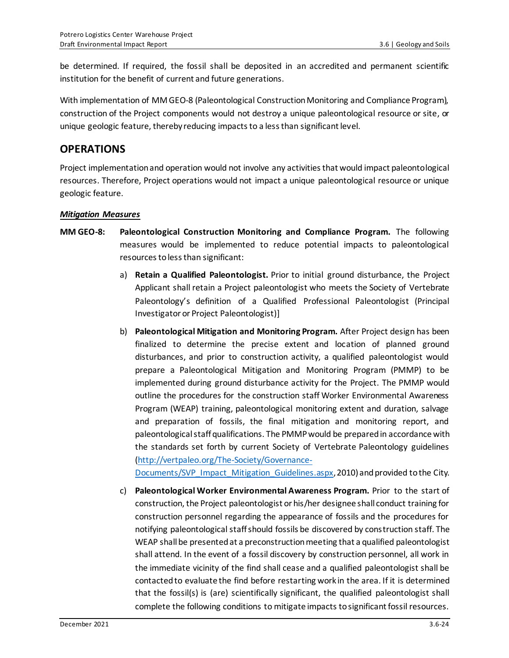be determined. If required, the fossil shall be deposited in an accredited and permanent scientific institution for the benefit of current and future generations.

With implementation of MM GEO-8 (Paleontological Construction Monitoring and Compliance Program), construction of the Project components would not destroy a unique paleontological resource or site, or unique geologic feature, thereby reducing impacts to a less than significant level.

## **OPERATIONS**

Project implementation and operation would not involve any activities that would impact paleontological resources. Therefore, Project operations would not impact a unique paleontological resource or unique geologic feature.

#### *Mitigation Measures*

- **MM GEO-8: Paleontological Construction Monitoring and Compliance Program.** The following measures would be implemented to reduce potential impacts to paleontological resources to less than significant:
	- a) **Retain a Qualified Paleontologist.** Prior to initial ground disturbance, the Project Applicant shall retain a Project paleontologist who meets the Society of Vertebrate Paleontology's definition of a Qualified Professional Paleontologist (Principal Investigator or Project Paleontologist)]
	- b) **Paleontological Mitigation and Monitoring Program.** After Project design has been finalized to determine the precise extent and location of planned ground disturbances, and prior to construction activity, a qualified paleontologist would prepare a Paleontological Mitigation and Monitoring Program (PMMP) to be implemented during ground disturbance activity for the Project. The PMMP would outline the procedures for the construction staff Worker Environmental Awareness Program (WEAP) training, paleontological monitoring extent and duration, salvage and preparation of fossils, the final mitigation and monitoring report, and paleontological staff qualifications. The PMMP would be prepared in accordance with the standards set forth by current Society of Vertebrate Paleontology guidelines [\(http://vertpaleo.org/The-Society/Governance-](http://vertpaleo.org/The-Society/Governance-Documents/SVP_Impact_Mitigation_Guidelines.aspx)

[Documents/SVP\\_Impact\\_Mitigation\\_Guidelines.aspx](http://vertpaleo.org/The-Society/Governance-Documents/SVP_Impact_Mitigation_Guidelines.aspx), 2010) and provided to the City.

c) **Paleontological Worker Environmental Awareness Program.** Prior to the start of construction, the Project paleontologist or his/her designee shall conduct training for construction personnel regarding the appearance of fossils and the procedures for notifying paleontological staff should fossils be discovered by construction staff. The WEAP shall be presented at a preconstruction meeting that a qualified paleontologist shall attend. In the event of a fossil discovery by construction personnel, all work in the immediate vicinity of the find shall cease and a qualified paleontologist shall be contacted to evaluate the find before restarting work in the area. If it is determined that the fossil(s) is (are) scientifically significant, the qualified paleontologist shall complete the following conditions to mitigate impacts to significant fossil resources.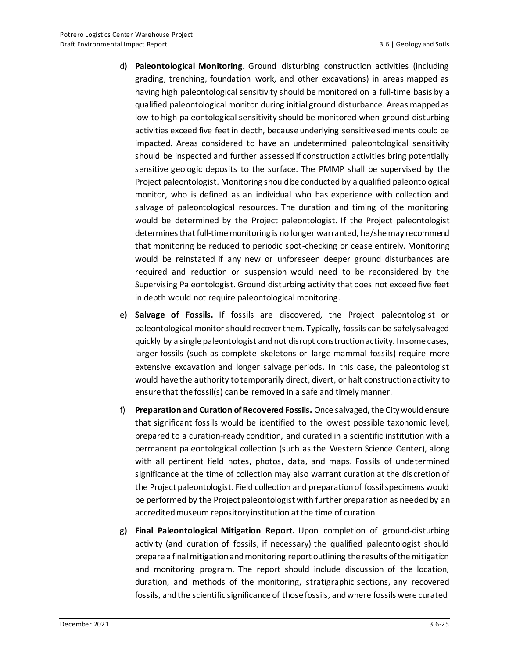- d) **Paleontological Monitoring.** Ground disturbing construction activities (including grading, trenching, foundation work, and other excavations) in areas mapped as having high paleontological sensitivity should be monitored on a full-time basis by a qualified paleontological monitor during initial ground disturbance. Areas mapped as low to high paleontological sensitivity should be monitored when ground-disturbing activities exceed five feet in depth, because underlying sensitive sediments could be impacted. Areas considered to have an undetermined paleontological sensitivity should be inspected and further assessed if construction activities bring potentially sensitive geologic deposits to the surface. The PMMP shall be supervised by the Project paleontologist. Monitoring should be conducted by a qualified paleontological monitor, who is defined as an individual who has experience with collection and salvage of paleontological resources. The duration and timing of the monitoring would be determined by the Project paleontologist. If the Project paleontologist determines that full-time monitoring is no longer warranted, he/she may recommend that monitoring be reduced to periodic spot-checking or cease entirely. Monitoring would be reinstated if any new or unforeseen deeper ground disturbances are required and reduction or suspension would need to be reconsidered by the Supervising Paleontologist. Ground disturbing activity that does not exceed five feet in depth would not require paleontological monitoring.
- e) **Salvage of Fossils.** If fossils are discovered, the Project paleontologist or paleontological monitor should recover them. Typically, fossils can be safely salvaged quickly by a single paleontologist and not disrupt construction activity. In some cases, larger fossils (such as complete skeletons or large mammal fossils) require more extensive excavation and longer salvage periods. In this case, the paleontologist would have the authority to temporarily direct, divert, or halt construction activity to ensure that the fossil(s) can be removed in a safe and timely manner.
- f) **Preparation and Curation of Recovered Fossils.** Once salvaged, the City would ensure that significant fossils would be identified to the lowest possible taxonomic level, prepared to a curation-ready condition, and curated in a scientific institution with a permanent paleontological collection (such as the Western Science Center), along with all pertinent field notes, photos, data, and maps. Fossils of undetermined significance at the time of collection may also warrant curation at the dis cretion of the Project paleontologist. Field collection and preparation of fossil specimens would be performed by the Project paleontologist with further preparation as needed by an accredited museum repository institution at the time of curation.
- g) **Final Paleontological Mitigation Report.** Upon completion of ground-disturbing activity (and curation of fossils, if necessary) the qualified paleontologist should prepare a final mitigation and monitoring report outlining the results of the mitigation and monitoring program. The report should include discussion of the location, duration, and methods of the monitoring, stratigraphic sections, any recovered fossils, and the scientific significance of those fossils, and where fossils were curated.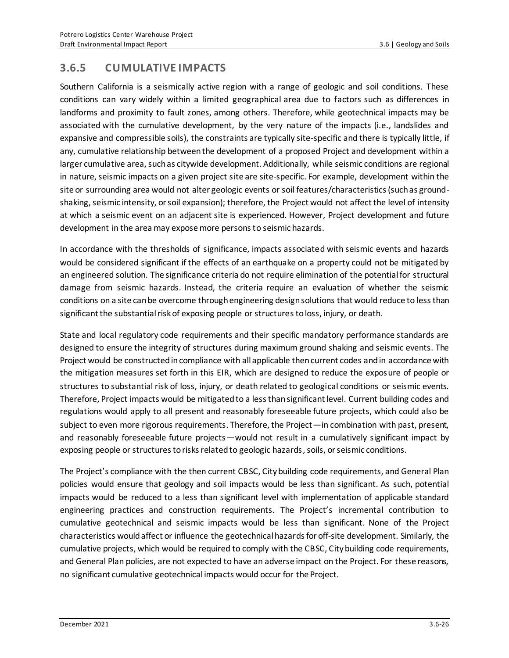# **3.6.5 CUMULATIVE IMPACTS**

Southern California is a seismically active region with a range of geologic and soil conditions. These conditions can vary widely within a limited geographical area due to factors such as differences in landforms and proximity to fault zones, among others. Therefore, while geotechnical impacts may be associated with the cumulative development, by the very nature of the impacts (i.e., landslides and expansive and compressible soils), the constraints are typically site-specific and there is typically little, if any, cumulative relationship between the development of a proposed Project and development within a larger cumulative area, such as citywide development. Additionally, while seismic conditions are regional in nature, seismic impacts on a given project site are site-specific. For example, development within the site or surrounding area would not alter geologic events or soil features/characteristics (such as groundshaking, seismic intensity, or soil expansion); therefore, the Project would not affect the level of intensity at which a seismic event on an adjacent site is experienced. However, Project development and future development in the area may expose more persons to seismic hazards.

In accordance with the thresholds of significance, impacts associated with seismic events and hazards would be considered significant if the effects of an earthquake on a property could not be mitigated by an engineered solution. The significance criteria do not require elimination of the potential for structural damage from seismic hazards. Instead, the criteria require an evaluation of whether the seismic conditions on a site can be overcome through engineering design solutions that would reduce to less than significant the substantial risk of exposing people or structures to loss, injury, or death.

State and local regulatory code requirements and their specific mandatory performance standards are designed to ensure the integrity of structures during maximum ground shaking and seismic events. The Project would be constructed in compliance with all applicable then current codes and in accordance with the mitigation measures set forth in this EIR, which are designed to reduce the exposure of people or structures to substantial risk of loss, injury, or death related to geological conditions or seismic events. Therefore, Project impacts would be mitigated to a less than significant level. Current building codes and regulations would apply to all present and reasonably foreseeable future projects, which could also be subject to even more rigorous requirements. Therefore, the Project—in combination with past, present, and reasonably foreseeable future projects—would not result in a cumulatively significant impact by exposing people or structures to risks related to geologic hazards, soils, or seismic conditions.

The Project's compliance with the then current CBSC, City building code requirements, and General Plan policies would ensure that geology and soil impacts would be less than significant. As such, potential impacts would be reduced to a less than significant level with implementation of applicable standard engineering practices and construction requirements. The Project's incremental contribution to cumulative geotechnical and seismic impacts would be less than significant. None of the Project characteristics wouldaffect or influence the geotechnical hazards for off-site development. Similarly, the cumulative projects, which would be required to comply with the CBSC, City building code requirements, and General Plan policies, are not expected to have an adverse impact on the Project. For these reasons, no significant cumulative geotechnical impacts would occur for the Project.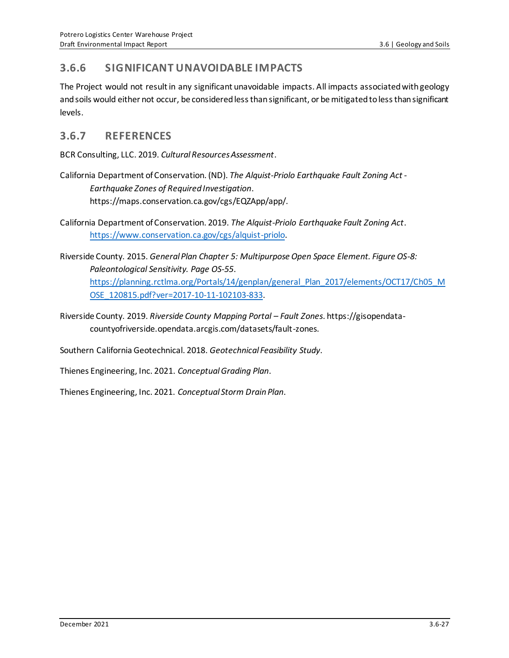## **3.6.6 SIGNIFICANT UNAVOIDABLE IMPACTS**

The Project would not result in any significant unavoidable impacts. All impacts associated with geology and soils would either not occur, be considered less than significant, or be mitigated to less than significant levels.

### **3.6.7 REFERENCES**

BCR Consulting, LLC. 2019. *Cultural Resources Assessment*.

California Department of Conservation. (ND). *The Alquist-Priolo Earthquake Fault Zoning Act - Earthquake Zones of Required Investigation*. https://maps.conservation.ca.gov/cgs/EQZApp/app/.

California Department of Conservation. 2019. *The Alquist-Priolo Earthquake Fault Zoning Act*. [https://www.conservation.ca.gov/cgs/alquist-priolo.](https://www.conservation.ca.gov/cgs/alquist-priolo)

- Riverside County. 2015. *General Plan Chapter 5: Multipurpose Open Space Element. Figure OS-8: Paleontological Sensitivity. Page OS-55*. [https://planning.rctlma.org/Portals/14/genplan/general\\_Plan\\_2017/elements/OCT17/Ch05\\_M](https://planning.rctlma.org/Portals/14/genplan/general_Plan_2017/elements/OCT17/Ch05_MOSE_120815.pdf?ver=2017-10-11-102103-833) [OSE\\_120815.pdf?ver=2017-10-11-102103-833.](https://planning.rctlma.org/Portals/14/genplan/general_Plan_2017/elements/OCT17/Ch05_MOSE_120815.pdf?ver=2017-10-11-102103-833)
- Riverside County. 2019. *Riverside County Mapping Portal – Fault Zones*. https://gisopendatacountyofriverside.opendata.arcgis.com/datasets/fault-zones.

Southern California Geotechnical. 2018. *Geotechnical Feasibility Study*.

Thienes Engineering, Inc. 2021. *Conceptual Grading Plan*.

Thienes Engineering, Inc. 2021. *Conceptual Storm Drain Plan*.